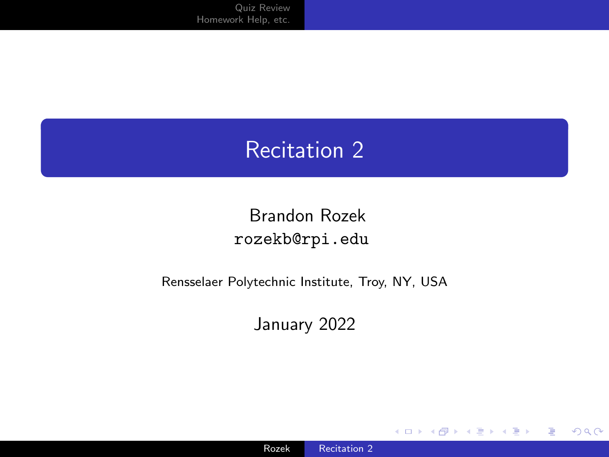# <span id="page-0-0"></span>Recitation 2

#### Brandon Rozek [rozekb@rpi.edu](mailto:rozekb@rpi.edu)

#### Rensselaer Polytechnic Institute, Troy, NY, USA

January 2022

**K ロ ▶ K 何 ▶** 

 $299$ 

目り 目

к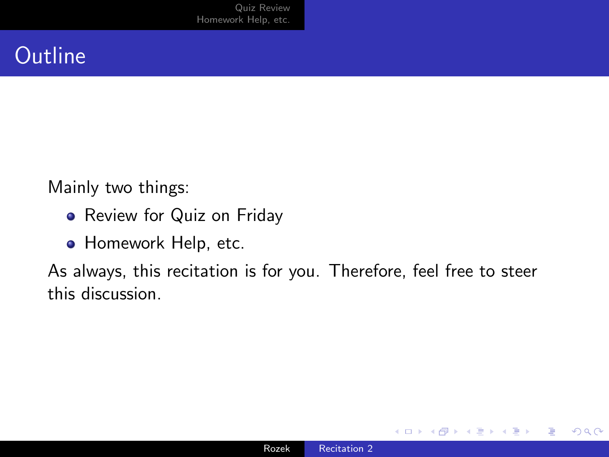# **Outline**

Mainly two things:

- Review for Quiz on Friday
- **Homework Help, etc.**

As always, this recitation is for you. Therefore, feel free to steer this discussion.

€⊡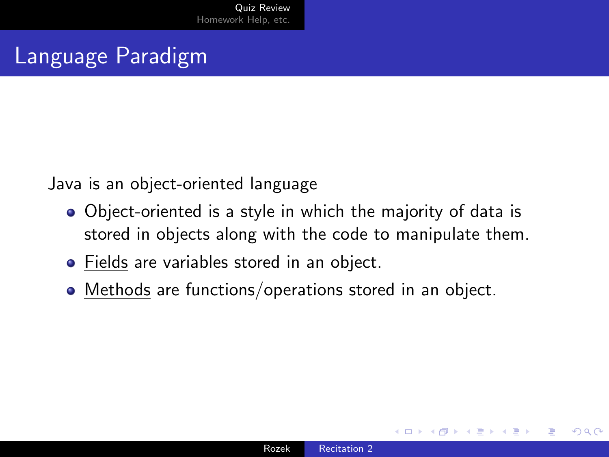## <span id="page-2-0"></span>Language Paradigm

Java is an object-oriented language

- Object-oriented is a style in which the majority of data is stored in objects along with the code to manipulate them.
- Fields are variables stored in an object.
- Methods are functions/operations stored in an object.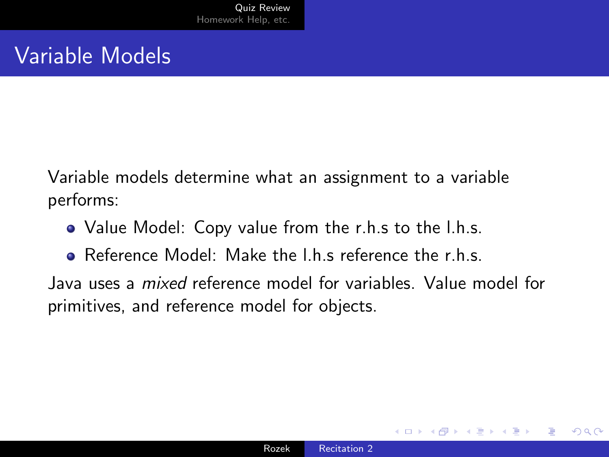Variable models determine what an assignment to a variable performs:

- Value Model: Copy value from the r.h.s to the l.h.s.
- **•** Reference Model: Make the I h s reference the r h s

Java uses a mixed reference model for variables. Value model for primitives, and reference model for objects.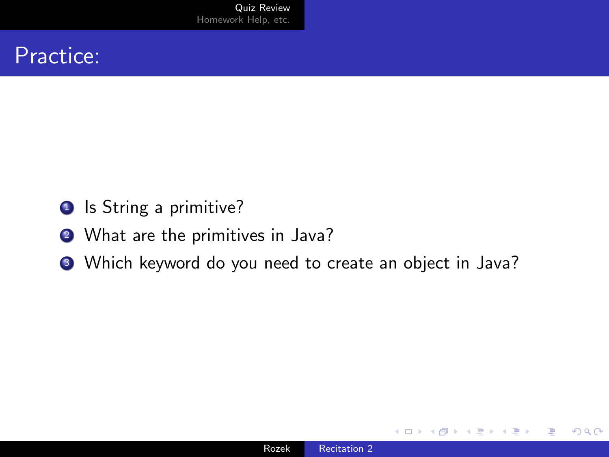#### Practice:

- **1** Is String a primitive?
- 2 What are the primitives in Java?
- <sup>3</sup> Which keyword do you need to create an object in Java?

 $\sim$   $\sim$ 

 $299$ 

∍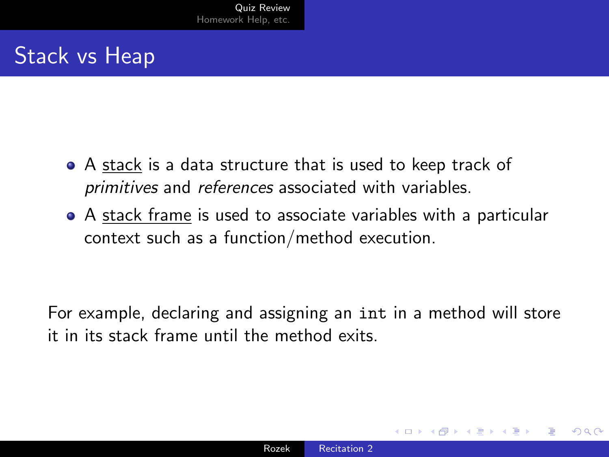# Stack vs Heap

- A stack is a data structure that is used to keep track of primitives and references associated with variables.
- A stack frame is used to associate variables with a particular context such as a function/method execution.

For example, declaring and assigning an int in a method will store it in its stack frame until the method exits.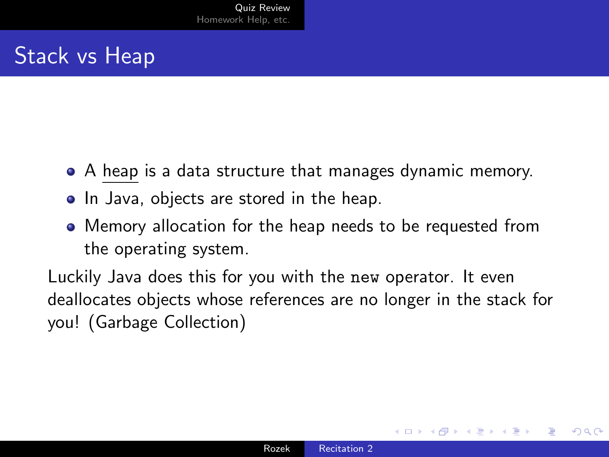# Stack vs Heap

- A heap is a data structure that manages dynamic memory.
- In Java, objects are stored in the heap.
- Memory allocation for the heap needs to be requested from the operating system.

Luckily Java does this for you with the new operator. It even deallocates objects whose references are no longer in the stack for you! (Garbage Collection)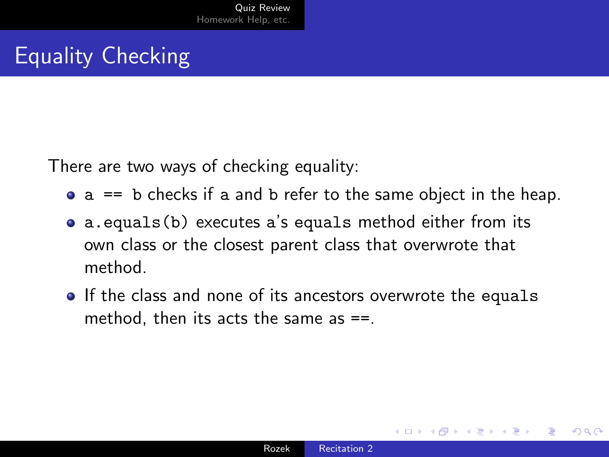# Equality Checking

There are two ways of checking equality:

- $\bullet$  a == b checks if a and b refer to the same object in the heap.
- a.equals(b) executes a's equals method either from its own class or the closest parent class that overwrote that method.
- If the class and none of its ancestors overwrote the equals method, then its acts the same as  $==$ .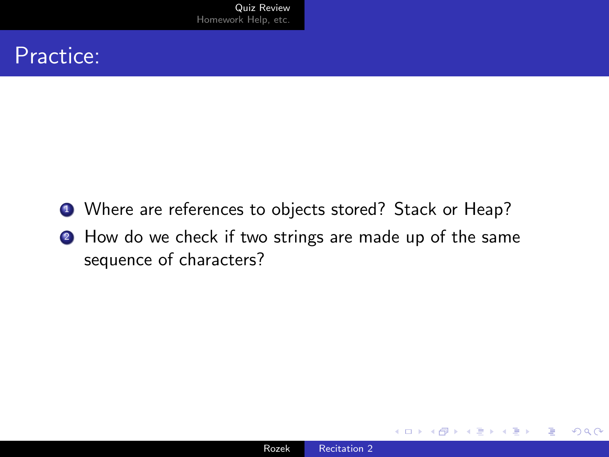#### Practice:

- <sup>1</sup> Where are references to objects stored? Stack or Heap?
- <sup>2</sup> How do we check if two strings are made up of the same sequence of characters?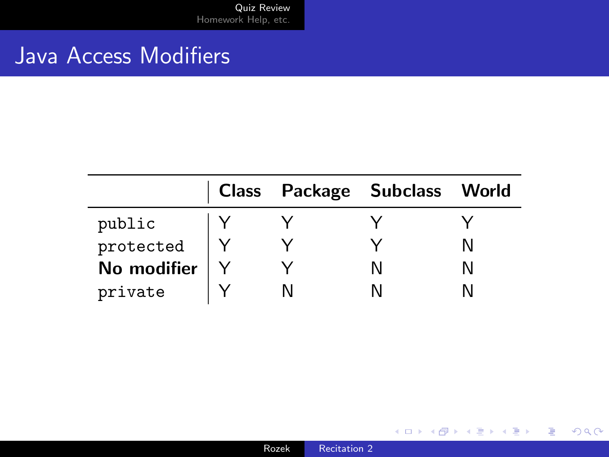### Java Access Modifiers

|             |  | Class Package Subclass World |  |
|-------------|--|------------------------------|--|
| public      |  |                              |  |
| protected   |  |                              |  |
| No modifier |  |                              |  |
| private     |  |                              |  |

メロトメ 御 トメ 君 トメ 君 トー

重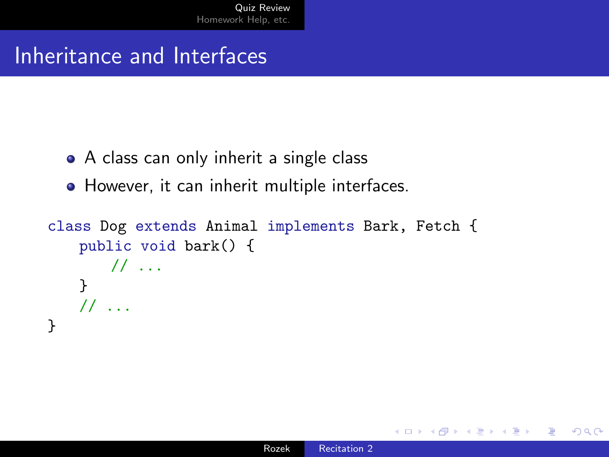# Inheritance and Interfaces

- A class can only inherit a single class
- However, it can inherit multiple interfaces.

```
class Dog extends Animal implements Bark, Fetch {
    public void bark() {
      // ...
   }
   \frac{1}{2}...
}
```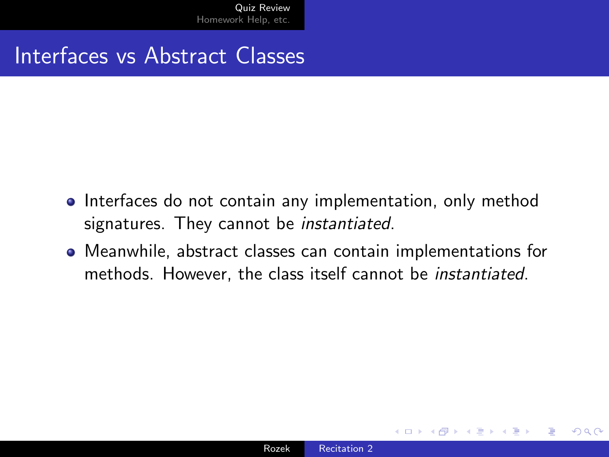#### Interfaces vs Abstract Classes

- Interfaces do not contain any implementation, only method signatures. They cannot be instantiated.
- Meanwhile, abstract classes can contain implementations for methods. However, the class itself cannot be instantiated.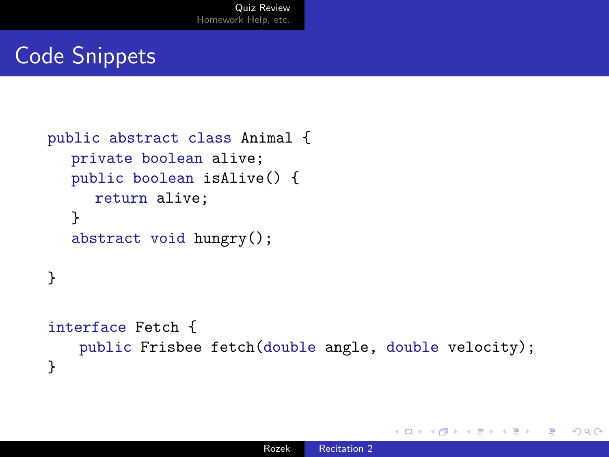# Code Snippets

```
public abstract class Animal {
  private boolean alive;
  public boolean isAlive() {
     return alive;
  }
  abstract void hungry();
}
interface Fetch {
   public Frisbee fetch(double angle, double velocity);
}
```
 $\Omega$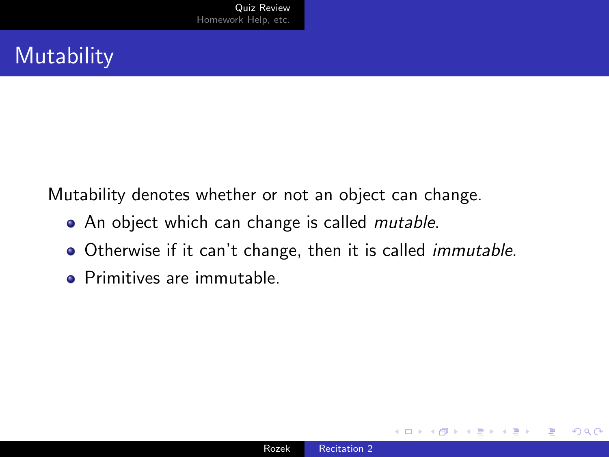# **Mutability**

Mutability denotes whether or not an object can change.

- An object which can change is called *mutable*.
- Otherwise if it can't change, then it is called *immutable*.
- **Primitives are immutable**

 $\Omega$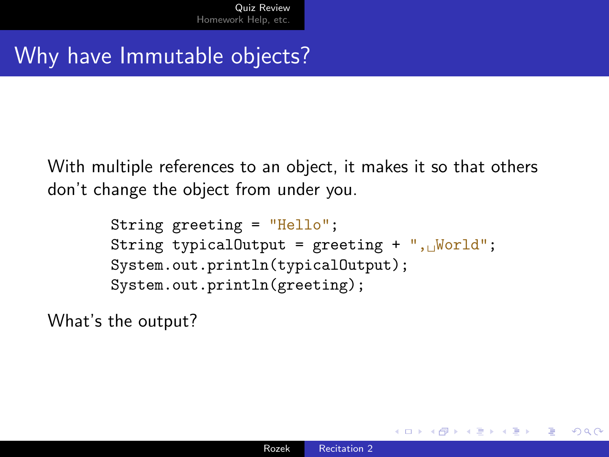# Why have Immutable objects?

With multiple references to an object, it makes it so that others don't change the object from under you.

```
String greeting = "Hello";
String typicalOutput = greeting + ",\sqrt{W}world";
System.out.println(typicalOutput);
System.out.println(greeting);
```
What's the output?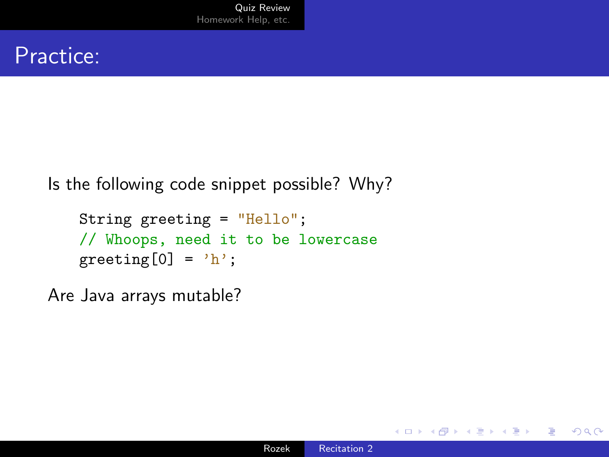#### Practice:

Is the following code snippet possible? Why?

```
String greeting = "Hello";
// Whoops, need it to be lowercase
greeting[0] = 'h';
```
Are Java arrays mutable?

 $299$ 

∍

→ 重 下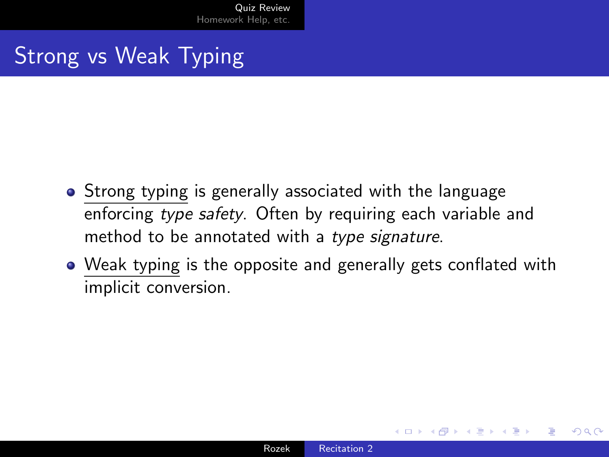# Strong vs Weak Typing

- Strong typing is generally associated with the language enforcing type safety. Often by requiring each variable and method to be annotated with a type signature.
- Weak typing is the opposite and generally gets conflated with implicit conversion.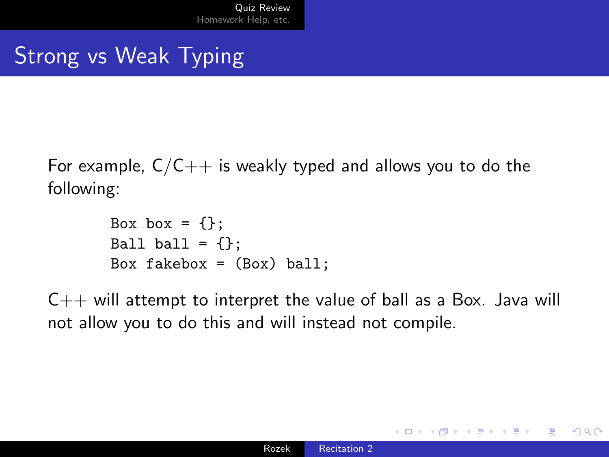# Strong vs Weak Typing

For example,  $C/C++$  is weakly typed and allows you to do the following:

```
Box box = \{\};
Ball ball = \{\};
Box fakebox = (Box) ball;
```
 $C_{++}$  will attempt to interpret the value of ball as a Box. Java will not allow you to do this and will instead not compile.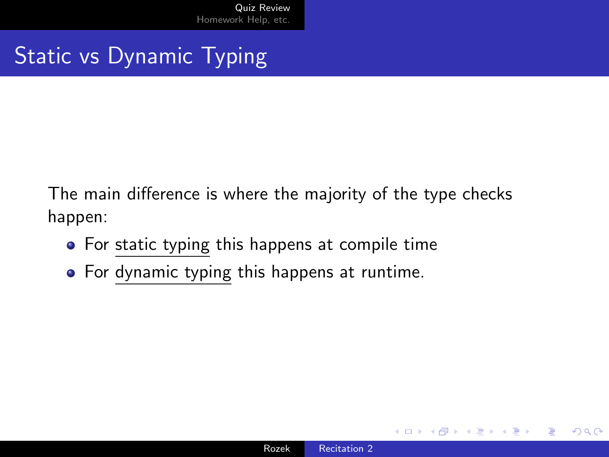Static vs Dynamic Typing

The main difference is where the majority of the type checks happen:

- For static typing this happens at compile time
- For dynamic typing this happens at runtime.

 $QQ$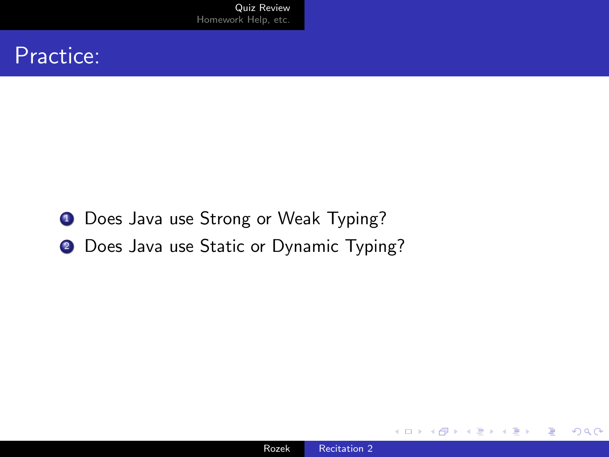#### Practice:

- **1** Does Java use Strong or Weak Typing?
- 2 Does Java use Static or Dynamic Typing?

∢⊡

 $299$ 

目

∍

-b